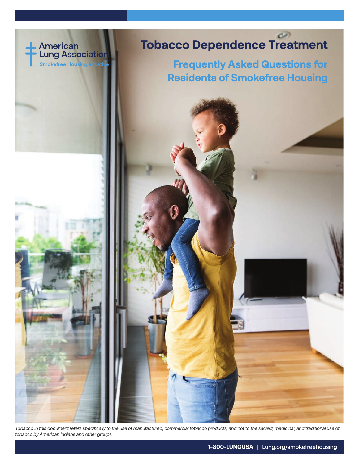

# **Tobacco Dependence Treatment**

**Frequently Asked Questions for Residents of Smokefree Housing**



*Tobacco in this document refers specifically to the use of manufactured, commercial tobacco products, and not to the sacred, medicinal, and traditional use of tobacco by American Indians and other groups.*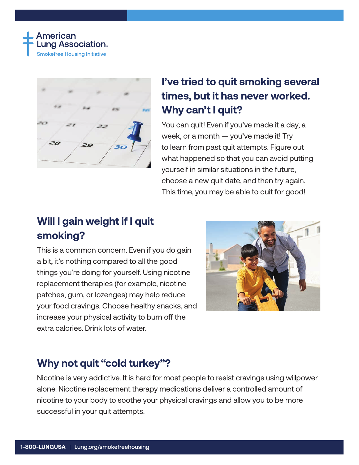



## **I've tried to quit smoking several times, but it has never worked. Why can't I quit?**

You can quit! Even if you've made it a day, a week, or a month — you've made it! Try to learn from past quit attempts. Figure out what happened so that you can avoid putting yourself in similar situations in the future, choose a new quit date, and then try again. This time, you may be able to quit for good!

## **Will I gain weight if I quit smoking?**

This is a common concern. Even if you do gain a bit, it's nothing compared to all the good things you're doing for yourself. Using nicotine replacement therapies (for example, nicotine patches, gum, or lozenges) may help reduce your food cravings. Choose healthy snacks, and increase your physical activity to burn off the extra calories. Drink lots of water.



#### **Why not quit "cold turkey"?**

Nicotine is very addictive. It is hard for most people to resist cravings using willpower alone. Nicotine replacement therapy medications deliver a controlled amount of nicotine to your body to soothe your physical cravings and allow you to be more successful in your quit attempts.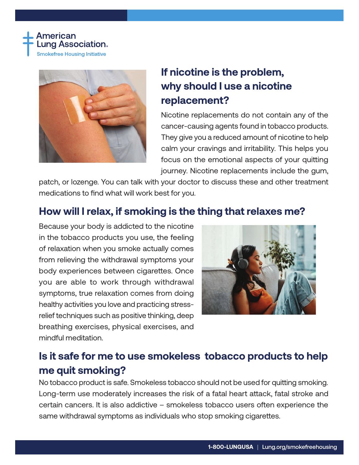



## **If nicotine is the problem, why should I use a nicotine replacement?**

Nicotine replacements do not contain any of the cancer-causing agents found in tobacco products. They give you a reduced amount of nicotine to help calm your cravings and irritability. This helps you focus on the emotional aspects of your quitting journey. Nicotine replacements include the gum,

patch, or lozenge. You can talk with your doctor to discuss these and other treatment medications to find what will work best for you.

### **How will I relax, if smoking is the thing that relaxes me?**

Because your body is addicted to the nicotine in the tobacco products you use, the feeling of relaxation when you smoke actually comes from relieving the withdrawal symptoms your body experiences between cigarettes. Once you are able to work through withdrawal symptoms, true relaxation comes from doing healthy activities you love and practicing stressrelief techniques such as positive thinking, deep breathing exercises, physical exercises, and mindful meditation.



## **Is it safe for me to use smokeless tobacco products to help me quit smoking?**

No tobacco product is safe. Smokeless tobacco should not be used for quitting smoking. Long-term use moderately increases the risk of a fatal heart attack, fatal stroke and certain cancers. It is also addictive – smokeless tobacco users often experience the same withdrawal symptoms as individuals who stop smoking cigarettes.